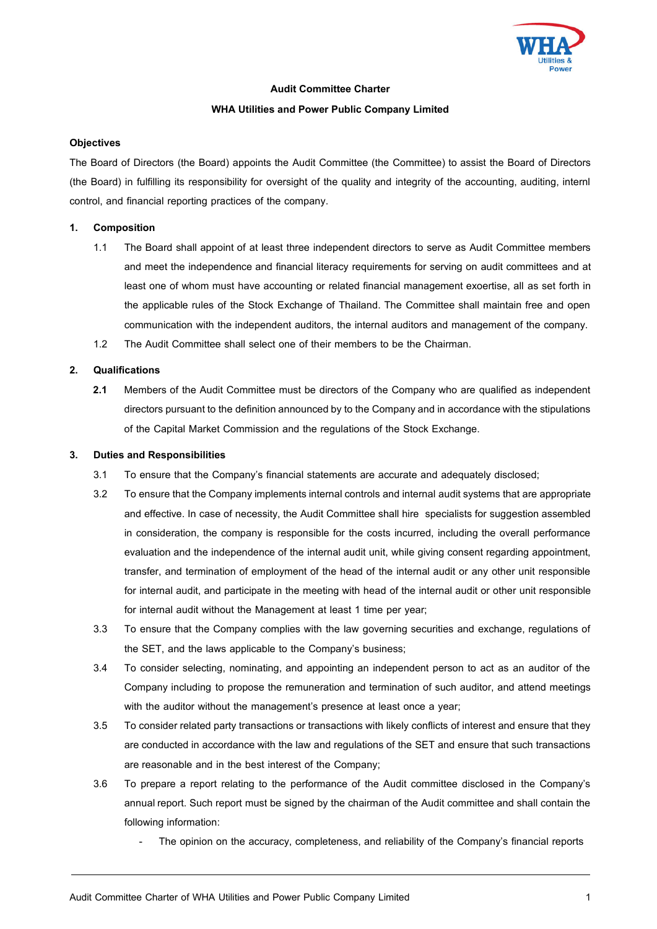

## **Audit Committee Charter**

## **WHA Utilities and Power Public Company Limited**

## **Objectives**

The Board of Directors (the Board) appoints the Audit Committee (the Committee) to assist the Board of Directors (the Board) in fulfilling its responsibility for oversight of the quality and integrity of the accounting, auditing, internl control, and financial reporting practices of the company.

# **1. Composition**

- 1.1 The Board shall appoint of at least three independent directors to serve as Audit Committee members and meet the independence and financial literacy requirements for serving on audit committees and at least one of whom must have accounting or related financial management exoertise, all as set forth in the applicable rules of the Stock Exchange of Thailand. The Committee shall maintain free and open communication with the independent auditors, the internal auditors and management of the company.
- 1.2 The Audit Committee shall select one of their members to be the Chairman.

# **2. Qualifications**

**2.1** Members of the Audit Committee must be directors of the Company who are qualified as independent directors pursuant to the definition announced by to the Company and in accordance with the stipulations of the Capital Market Commission and the regulations of the Stock Exchange.

# **3. Duties and Responsibilities**

- 3.1 To ensure that the Company's financial statements are accurate and adequately disclosed;
- 3.2 To ensure that the Company implements internal controls and internal audit systems that are appropriate and effective. In case of necessity, the Audit Committee shall hire specialists for suggestion assembled in consideration, the company is responsible for the costs incurred, including the overall performance evaluation and the independence of the internal audit unit, while giving consent regarding appointment, transfer, and termination of employment of the head of the internal audit or any other unit responsible for internal audit, and participate in the meeting with head of the internal audit or other unit responsible for internal audit without the Management at least 1 time per year;
- 3.3 To ensure that the Company complies with the law governing securities and exchange, regulations of the SET, and the laws applicable to the Company's business;
- 3.4 To consider selecting, nominating, and appointing an independent person to act as an auditor of the Company including to propose the remuneration and termination of such auditor, and attend meetings with the auditor without the management's presence at least once a year;
- 3.5 To consider related party transactions or transactions with likely conflicts of interest and ensure that they are conducted in accordance with the law and regulations of the SET and ensure that such transactions are reasonable and in the best interest of the Company;
- 3.6 To prepare a report relating to the performance of the Audit committee disclosed in the Company's annual report. Such report must be signed by the chairman of the Audit committee and shall contain the following information:
	- The opinion on the accuracy, completeness, and reliability of the Company's financial reports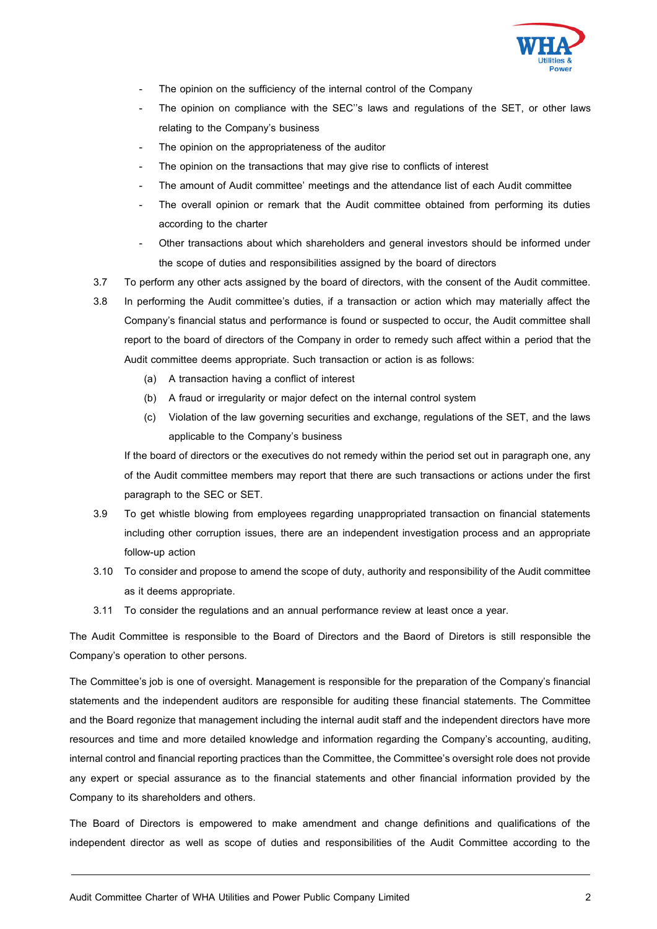

- The opinion on the sufficiency of the internal control of the Company
- The opinion on compliance with the SEC"s laws and regulations of the SET, or other laws relating to the Company's business
- The opinion on the appropriateness of the auditor
- The opinion on the transactions that may give rise to conflicts of interest
- The amount of Audit committee' meetings and the attendance list of each Audit committee
- The overall opinion or remark that the Audit committee obtained from performing its duties according to the charter
- Other transactions about which shareholders and general investors should be informed under the scope of duties and responsibilities assigned by the board of directors
- 3.7 To perform any other acts assigned by the board of directors, with the consent of the Audit committee.
- 3.8 In performing the Audit committee's duties, if a transaction or action which may materially affect the Company's financial status and performance is found or suspected to occur, the Audit committee shall report to the board of directors of the Company in order to remedy such affect within a period that the Audit committee deems appropriate. Such transaction or action is as follows:
	- (a) A transaction having a conflict of interest
	- (b) A fraud or irregularity or major defect on the internal control system
	- (c) Violation of the law governing securities and exchange, regulations of the SET, and the laws applicable to the Company's business

If the board of directors or the executives do not remedy within the period set out in paragraph one, any of the Audit committee members may report that there are such transactions or actions under the first paragraph to the SEC or SET.

- 3.9 To get whistle blowing from employees regarding unappropriated transaction on financial statements including other corruption issues, there are an independent investigation process and an appropriate follow-up action
- 3.10 To consider and propose to amend the scope of duty, authority and responsibility of the Audit committee as it deems appropriate.
- 3.11 To consider the regulations and an annual performance review at least once a year.

The Audit Committee is responsible to the Board of Directors and the Baord of Diretors is still responsible the Company's operation to other persons.

The Committee's job is one of oversight. Management is responsible for the preparation of the Company's financial statements and the independent auditors are responsible for auditing these financial statements. The Committee and the Board regonize that management including the internal audit staff and the independent directors have more resources and time and more detailed knowledge and information regarding the Company's accounting, auditing, internal control and financial reporting practices than the Committee, the Committee's oversight role does not provide any expert or special assurance as to the financial statements and other financial information provided by the Company to its shareholders and others.

The Board of Directors is empowered to make amendment and change definitions and qualifications of the independent director as well as scope of duties and responsibilities of the Audit Committee according to the